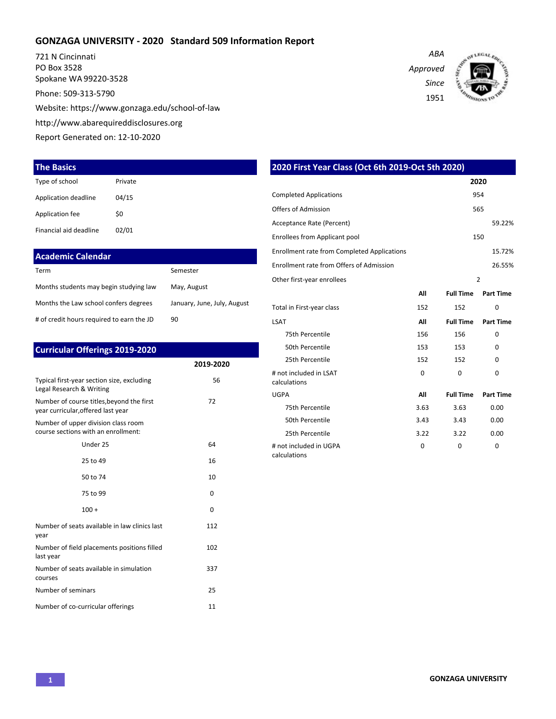#### **GONZAGA UNIVERSITY - 2020 Standard 509 Information Report**

721 N Cincinnati PO Box 3528 Spokane WA 99220-3528 Phone: 509-313-5790 Website: https://www.gonzaga.edu/school-of-law http://www.abarequireddisclosures.org Report Generated on: 12-10-2020

#### **The Basics**

| Type of school         | Private |
|------------------------|---------|
| Application deadline   | 04/15   |
| Application fee        | \$0     |
| Financial aid deadline | 02/01   |

### **Academic Calendar**

| Term                                      | Semester                    |
|-------------------------------------------|-----------------------------|
| Months students may begin studying law    | May, August                 |
| Months the Law school confers degrees     | January, June, July, August |
| # of credit hours required to earn the JD | 90                          |

| <b>Curricular Offerings 2019-2020</b>                                           |           |  |  |  |  |
|---------------------------------------------------------------------------------|-----------|--|--|--|--|
|                                                                                 | 2019-2020 |  |  |  |  |
| Typical first-year section size, excluding<br>Legal Research & Writing          | 56        |  |  |  |  |
| Number of course titles, beyond the first<br>year curricular, offered last year | 72        |  |  |  |  |
| Number of upper division class room<br>course sections with an enrollment:      |           |  |  |  |  |
| Under 25                                                                        | 64        |  |  |  |  |
| 25 to 49                                                                        | 16        |  |  |  |  |
| 50 to 74                                                                        | 10        |  |  |  |  |
| 75 to 99                                                                        | 0         |  |  |  |  |
| $100 +$                                                                         | $\Omega$  |  |  |  |  |
| Number of seats available in law clinics last<br>year                           | 112       |  |  |  |  |
| Number of field placements positions filled<br>last year                        | 102       |  |  |  |  |
| Number of seats available in simulation<br>courses                              | 337       |  |  |  |  |
| Number of seminars                                                              | 25        |  |  |  |  |
| Number of co-curricular offerings                                               | 11        |  |  |  |  |

| ABA      |
|----------|
| Approved |
| Since    |
| 1951     |
|          |



|                                                    | 2020 First Year Class (Oct 6th 2019-Oct 5th 2020) |                  |                  |  |  |  |  |
|----------------------------------------------------|---------------------------------------------------|------------------|------------------|--|--|--|--|
|                                                    |                                                   |                  | 2020             |  |  |  |  |
| <b>Completed Applications</b>                      |                                                   |                  | 954              |  |  |  |  |
| Offers of Admission                                |                                                   |                  | 565              |  |  |  |  |
| Acceptance Rate (Percent)                          |                                                   |                  | 59.22%           |  |  |  |  |
| Enrollees from Applicant pool                      |                                                   |                  | 150              |  |  |  |  |
| <b>Enrollment rate from Completed Applications</b> |                                                   |                  | 15.72%           |  |  |  |  |
| Enrollment rate from Offers of Admission           |                                                   |                  | 26.55%           |  |  |  |  |
| Other first-year enrollees                         |                                                   |                  | $\overline{2}$   |  |  |  |  |
|                                                    | All                                               | <b>Full Time</b> | <b>Part Time</b> |  |  |  |  |
| Total in First-year class                          | 152                                               | 152              | 0                |  |  |  |  |
| <b>LSAT</b>                                        | All                                               | <b>Full Time</b> | <b>Part Time</b> |  |  |  |  |
| 75th Percentile                                    | 156                                               | 156              | U                |  |  |  |  |
| 50th Percentile                                    | 153                                               | 153              | 0                |  |  |  |  |
| 25th Percentile                                    | 152                                               | 152              | 0                |  |  |  |  |
| # not included in LSAT<br>calculations             | $\Omega$                                          | $\Omega$         | $\Omega$         |  |  |  |  |
| <b>UGPA</b>                                        | All                                               | <b>Full Time</b> | <b>Part Time</b> |  |  |  |  |
| 75th Percentile                                    | 3.63                                              | 3.63             | 0.00             |  |  |  |  |
| 50th Percentile                                    | 3.43                                              | 3.43             | 0.00             |  |  |  |  |
| 25th Percentile                                    | 3.22                                              | 3.22             | 0.00             |  |  |  |  |
| # not included in UGPA<br>calculations             | 0                                                 | $\mathbf 0$      | 0                |  |  |  |  |

**1 GONZAGA UNIVERSITY**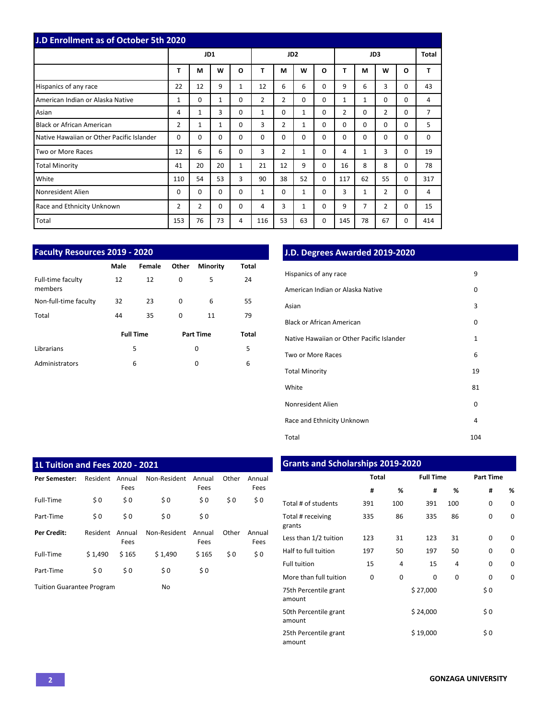| J.D Enrollment as of October 5th 2020     |                |              |              |              |                 |                |              |          |                |          |             |          |     |
|-------------------------------------------|----------------|--------------|--------------|--------------|-----------------|----------------|--------------|----------|----------------|----------|-------------|----------|-----|
|                                           |                | JD1          |              |              | JD <sub>2</sub> |                |              | JD3      |                |          | Total       |          |     |
|                                           | T              | M            | W            | $\mathbf{o}$ | T               | M              | W            | O        | т              | М        | W           | O        | T   |
| Hispanics of any race                     | 22             | 12           | 9            | $\mathbf{1}$ | 12              | 6              | 6            | 0        | 9              | 6        | 3           | 0        | 43  |
| American Indian or Alaska Native          | $\mathbf{1}$   | 0            | $\mathbf{1}$ | $\Omega$     | 2               | $\overline{2}$ | $\Omega$     | 0        | 1              | 1        | $\mathbf 0$ | 0        | 4   |
| Asian                                     | 4              | $\mathbf{1}$ | 3            | $\Omega$     | 1               | $\Omega$       | $\mathbf{1}$ | 0        | $\overline{2}$ | $\Omega$ | 2           | 0        | 7   |
| <b>Black or African American</b>          | $\overline{2}$ | $\mathbf{1}$ | $\mathbf{1}$ | $\Omega$     | 3               | $\overline{2}$ | $\mathbf{1}$ | 0        | $\Omega$       | $\Omega$ | $\Omega$    | 0        | 5   |
| Native Hawaiian or Other Pacific Islander | $\Omega$       | 0            | $\Omega$     | $\Omega$     | $\Omega$        | $\Omega$       | $\Omega$     | 0        | $\Omega$       | $\Omega$ | $\mathbf 0$ | 0        | 0   |
| Two or More Races                         | 12             | 6            | 6            | $\Omega$     | 3               | $\overline{2}$ | $\mathbf{1}$ | 0        | 4              | 1        | 3           | 0        | 19  |
| <b>Total Minority</b>                     | 41             | 20           | 20           | $\mathbf{1}$ | 21              | 12             | 9            | 0        | 16             | 8        | 8           | $\Omega$ | 78  |
| White                                     | 110            | 54           | 53           | 3            | 90              | 38             | 52           | $\Omega$ | 117            | 62       | 55          | 0        | 317 |
| Nonresident Alien                         | $\Omega$       | 0            | $\Omega$     | $\Omega$     | 1               | $\Omega$       | $\mathbf{1}$ | 0        | 3              | 1        | 2           | $\Omega$ | 4   |
| Race and Ethnicity Unknown                | 2              | 2            | 0            | $\Omega$     | 4               | 3              | $\mathbf{1}$ | 0        | 9              | 7        | 2           | 0        | 15  |
| Total                                     | 153            | 76           | 73           | 4            | 116             | 53             | 63           | 0        | 145            | 78       | 67          | 0        | 414 |

| <b>Faculty Resources 2019 - 2020</b> |      |                  |       |                  |       |  |  |  |
|--------------------------------------|------|------------------|-------|------------------|-------|--|--|--|
|                                      | Male | Female           | Other | <b>Minority</b>  | Total |  |  |  |
| Full-time faculty<br>members         | 12   | 12               | 0     | 5                | 24    |  |  |  |
| Non-full-time faculty                | 32   | 23               | 0     | 6                | 55    |  |  |  |
| Total                                | 44   | 35               | 0     | 11               | 79    |  |  |  |
|                                      |      | <b>Full Time</b> |       | <b>Part Time</b> | Total |  |  |  |
| Librarians                           | 5    |                  | 0     |                  | 5     |  |  |  |
| Administrators                       | 6    |                  | 0     |                  | 6     |  |  |  |

# **J.D. Degrees Awarded 2019-2020**

| Hispanics of any race                     | 9            |
|-------------------------------------------|--------------|
| American Indian or Alaska Native          | 0            |
| Asian                                     | 3            |
| <b>Black or African American</b>          | 0            |
| Native Hawaiian or Other Pacific Islander | $\mathbf{1}$ |
| Two or More Races                         | 6            |
| <b>Total Minority</b>                     | 19           |
| White                                     | 81           |
| Nonresident Alien                         | 0            |
| Race and Ethnicity Unknown                | 4            |
| Total                                     | 104          |

| <b>1L Tuition and Fees 2020 - 2021</b> |          |                |              |                |       |                |  |  |
|----------------------------------------|----------|----------------|--------------|----------------|-------|----------------|--|--|
| Per Semester:                          | Resident | Annual<br>Fees | Non-Resident | Annual<br>Fees | Other | Annual<br>Fees |  |  |
| Full-Time                              | \$0      | \$0            | \$0          | \$0            | \$0   | \$0            |  |  |
| Part-Time                              | \$0      | \$0            | \$0          | \$0            |       |                |  |  |
| <b>Per Credit:</b>                     | Resident | Annual<br>Fees | Non-Resident | Annual<br>Fees | Other | Annual<br>Fees |  |  |
| Full-Time                              | \$1.490  | \$165          | \$1.490      | \$165          | \$0   | \$0            |  |  |
| Part-Time                              | \$0      | \$0            | \$0          | \$0            |       |                |  |  |
| <b>Tuition Guarantee Program</b>       |          |                | No           |                |       |                |  |  |

# **Grants and Scholarships 2019-2020**

|                                 | <b>Total</b> |     | <b>Full Time</b> |          | <b>Part Time</b> |   |
|---------------------------------|--------------|-----|------------------|----------|------------------|---|
|                                 | #            | %   | #                | %        | #                | % |
| Total # of students             | 391          | 100 | 391              | 100      | 0                | 0 |
| Total # receiving<br>grants     | 335          | 86  | 335              | 86       | 0                | 0 |
| Less than 1/2 tuition           | 123          | 31  | 123              | 31       | $\Omega$         | 0 |
| Half to full tuition            | 197          | 50  | 197              | 50       | $\Omega$         | 0 |
| <b>Full tuition</b>             | 15           | 4   | 15               | 4        | 0                | 0 |
| More than full tuition          | $\Omega$     | 0   | 0                | $\Omega$ | $\Omega$         | O |
| 75th Percentile grant<br>amount |              |     | \$27,000         |          | \$0              |   |
| 50th Percentile grant<br>amount |              |     | \$24,000         |          | \$0              |   |
| 25th Percentile grant<br>amount |              |     | \$19,000         |          | \$0              |   |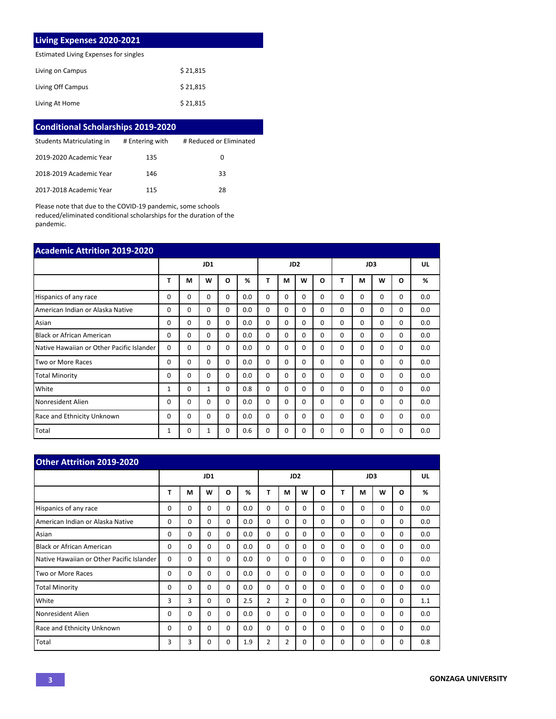## **Living Expenses 2020-2021**

Estimated Living Expenses for singles

| Living on Campus  | \$21,815 |
|-------------------|----------|
| Living Off Campus | \$21,815 |
| Living At Home    | \$21,815 |

| <b>Conditional Scholarships 2019-2020</b> |                 |                         |  |  |  |  |  |  |
|-------------------------------------------|-----------------|-------------------------|--|--|--|--|--|--|
| Students Matriculating in                 | # Entering with | # Reduced or Eliminated |  |  |  |  |  |  |
| 2019-2020 Academic Year                   | 135             | 0                       |  |  |  |  |  |  |
| 2018-2019 Academic Year                   | 146             | 33                      |  |  |  |  |  |  |
| 2017-2018 Academic Year                   | 115             | 28                      |  |  |  |  |  |  |

Please note that due to the COVID-19 pandemic, some schools reduced/eliminated conditional scholarships for the duration of the pandemic.

| <b>Academic Attrition 2019-2020</b>       |              |          |          |          |     |                 |          |          |          |          |          |          |          |     |
|-------------------------------------------|--------------|----------|----------|----------|-----|-----------------|----------|----------|----------|----------|----------|----------|----------|-----|
|                                           | JD1          |          |          |          |     | JD <sub>2</sub> |          |          |          | JD3      |          |          |          | UL  |
|                                           | T            | M        | W        | O        | %   | T               | М        | W        | O        | т        | M        | W        | O        | %   |
| Hispanics of any race                     | 0            | 0        | 0        | $\Omega$ | 0.0 | 0               | 0        | $\Omega$ | 0        | $\Omega$ | $\Omega$ | 0        | 0        | 0.0 |
| American Indian or Alaska Native          | 0            | $\Omega$ | $\Omega$ | $\Omega$ | 0.0 | 0               | 0        | $\Omega$ | 0        | $\Omega$ | $\Omega$ | 0        | 0        | 0.0 |
| Asian                                     | $\Omega$     | $\Omega$ | $\Omega$ | $\Omega$ | 0.0 | $\Omega$        | $\Omega$ | $\Omega$ | 0        | $\Omega$ | $\Omega$ | $\Omega$ | 0        | 0.0 |
| <b>Black or African American</b>          | 0            | $\Omega$ | $\Omega$ | $\Omega$ | 0.0 | $\Omega$        | $\Omega$ | $\Omega$ | 0        | $\Omega$ | $\Omega$ | $\Omega$ | 0        | 0.0 |
| Native Hawaiian or Other Pacific Islander | $\Omega$     | 0        | 0        | $\Omega$ | 0.0 | 0               | 0        | $\Omega$ | 0        | $\Omega$ | 0        | 0        | 0        | 0.0 |
| Two or More Races                         | $\Omega$     | $\Omega$ | $\Omega$ | $\Omega$ | 0.0 | $\Omega$        | $\Omega$ | $\Omega$ | 0        | $\Omega$ | $\Omega$ | 0        | $\Omega$ | 0.0 |
| <b>Total Minority</b>                     | 0            | 0        | $\Omega$ | $\Omega$ | 0.0 | $\Omega$        | $\Omega$ | $\Omega$ | $\Omega$ | $\Omega$ | $\Omega$ | $\Omega$ | $\Omega$ | 0.0 |
| White                                     | 1            | 0        | 1        | $\Omega$ | 0.8 | $\Omega$        | $\Omega$ | $\Omega$ | 0        | $\Omega$ | $\Omega$ | 0        | 0        | 0.0 |
| Nonresident Alien                         | 0            | 0        | $\Omega$ | $\Omega$ | 0.0 | $\Omega$        | $\Omega$ | $\Omega$ | $\Omega$ | $\Omega$ | $\Omega$ | $\Omega$ | $\Omega$ | 0.0 |
| Race and Ethnicity Unknown                | <sup>0</sup> | $\Omega$ | $\Omega$ | $\Omega$ | 0.0 | $\Omega$        | $\Omega$ | $\Omega$ | $\Omega$ | $\Omega$ | $\Omega$ | $\Omega$ | $\Omega$ | 0.0 |
| Total                                     | 1            | 0        | 1        | $\Omega$ | 0.6 | $\Omega$        | 0        | $\Omega$ | $\Omega$ | 0        | 0        | 0        | 0        | 0.0 |

| Other Attrition 2019-2020                 |     |          |             |          |     |          |                |                 |          |          |          |          |          |     |
|-------------------------------------------|-----|----------|-------------|----------|-----|----------|----------------|-----------------|----------|----------|----------|----------|----------|-----|
|                                           | JD1 |          |             |          |     |          |                | JD <sub>2</sub> |          | JD3      |          |          |          | UL  |
|                                           | Т   | М        | W           | O        | %   | T        | М              | W               | $\Omega$ | т        | М        | W        | $\Omega$ | %   |
| Hispanics of any race                     | 0   | $\Omega$ | $\Omega$    | $\Omega$ | 0.0 | $\Omega$ | $\Omega$       | $\Omega$        | $\Omega$ | $\Omega$ | $\Omega$ | $\Omega$ | 0        | 0.0 |
| American Indian or Alaska Native          | 0   | $\Omega$ | $\Omega$    | $\Omega$ | 0.0 | $\Omega$ | $\Omega$       | $\Omega$        | $\Omega$ | 0        | $\Omega$ | $\Omega$ | 0        | 0.0 |
| Asian                                     | 0   | 0        | $\Omega$    | $\Omega$ | 0.0 | $\Omega$ | $\Omega$       | $\Omega$        | $\Omega$ | 0        | $\Omega$ | $\Omega$ | $\Omega$ | 0.0 |
| <b>Black or African American</b>          | 0   | 0        | $\Omega$    | $\Omega$ | 0.0 | $\Omega$ | $\Omega$       | 0               | $\Omega$ | 0        | $\Omega$ | $\Omega$ | 0        | 0.0 |
| Native Hawaiian or Other Pacific Islander | 0   | 0        | $\Omega$    | 0        | 0.0 | 0        | $\Omega$       | $\Omega$        | $\Omega$ | 0        | $\Omega$ | $\Omega$ | 0        | 0.0 |
| Two or More Races                         | 0   | 0        | $\Omega$    | 0        | 0.0 | $\Omega$ | $\Omega$       | $\Omega$        | $\Omega$ | 0        | $\Omega$ | $\Omega$ | 0        | 0.0 |
| <b>Total Minority</b>                     | 0   | 0        | $\Omega$    | $\Omega$ | 0.0 | $\Omega$ | $\Omega$       | $\Omega$        | $\Omega$ | 0        | $\Omega$ | $\Omega$ | 0        | 0.0 |
| White                                     | 3   | 3        | $\mathbf 0$ | 0        | 2.5 | 2        | $\overline{2}$ | $\mathbf 0$     | $\Omega$ | $\Omega$ | $\Omega$ | $\Omega$ | 0        | 1.1 |
| Nonresident Alien                         | 0   | 0        | $\Omega$    | 0        | 0.0 | $\Omega$ | $\Omega$       | $\Omega$        | $\Omega$ | 0        | $\Omega$ | $\Omega$ | 0        | 0.0 |
| <b>Race and Ethnicity Unknown</b>         | 0   | 0        | $\Omega$    | 0        | 0.0 | $\Omega$ | $\Omega$       | $\Omega$        | $\Omega$ | 0        | $\Omega$ | $\Omega$ | 0        | 0.0 |
| Total                                     | 3   | 3        | 0           | 0        | 1.9 | 2        | $\overline{2}$ | 0               | $\Omega$ | 0        | $\Omega$ | $\Omega$ | 0        | 0.8 |